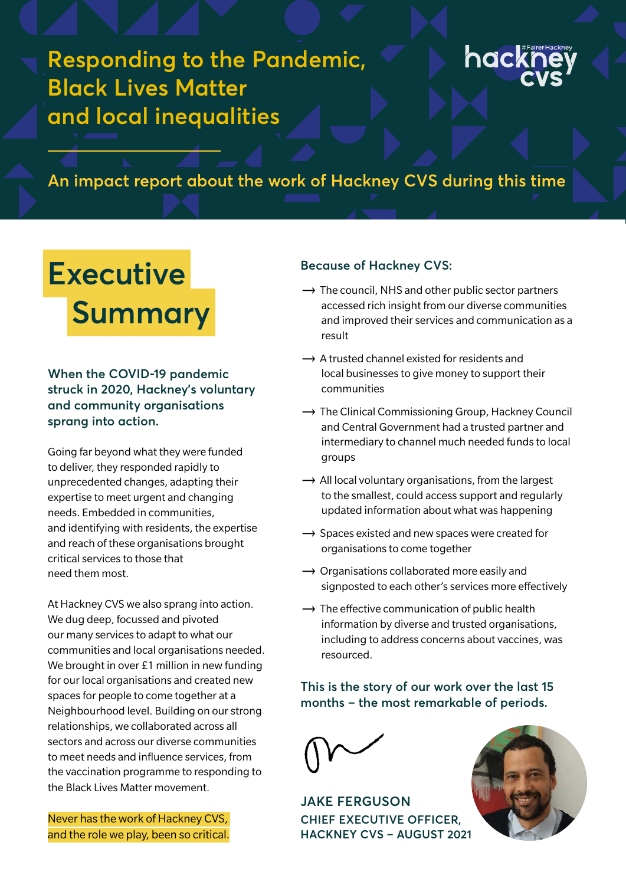**Responding to the Pandemic, Black Lives Matter and local inequalities** 



# **An impact report about the work of Hackney CVS during this time**

# **Executive Summary**

**When the COVID-19 pandemic struck in 2020, Hackney's voluntary and community organisations sprang into action.** 

Going far beyond what they were funded to deliver, they responded rapidly to unprecedented changes, adapting their expertise to meet urgent and changing needs. Embedded in communities, and identifying with residents, the expertise and reach of these organisations brought critical services to those that need them most.

At Hackney CVS we also sprang into action. We dug deep, focussed and pivoted our many services to adapt to what our communities and local organisations needed. We brought in over £1 million in new funding for our local organisations and created new spaces for people to come together at a Neighbourhood level. Building on our strong relationships, we collaborated across all sectors and across our diverse communities to meet needs and influence services, from the vaccination programme to responding to the Black Lives Matter movement.

Never has the work of Hackney CVS, and the role we play, been so critical.

#### **Because of Hackney CVS:**

- $\rightarrow$  The council, NHS and other public sector partners accessed rich insight from our diverse communities and improved their services and communication as a result
- $\rightarrow$  A trusted channel existed for residents and local businesses to give money to support their communities
- $\rightarrow$  The Clinical Commissioning Group, Hackney Council and Central Government had a trusted partner and intermediary to channel much needed funds to local groups
- $\rightarrow$  All local voluntary organisations, from the largest to the smallest, could access support and regularly updated information about what was happening
- $\rightarrow$  Spaces existed and new spaces were created for organisations to come together
- $\rightarrow$  Organisations collaborated more easily and signposted to each other's services more effectively
- $\rightarrow$  The effective communication of public health information by diverse and trusted organisations, including to address concerns about vaccines, was resourced.

### **This is the story of our work over the last 15 months – the most remarkable of periods.**

**JAKE FERGUSON CHIEF EXECUTIVE OFFICER, HACKNEY CVS – AUGUST 2021**

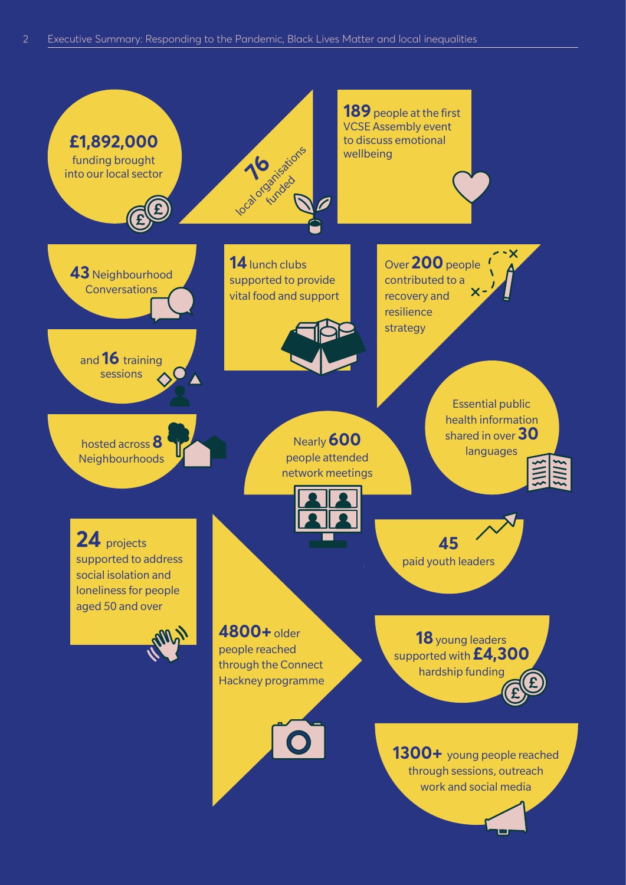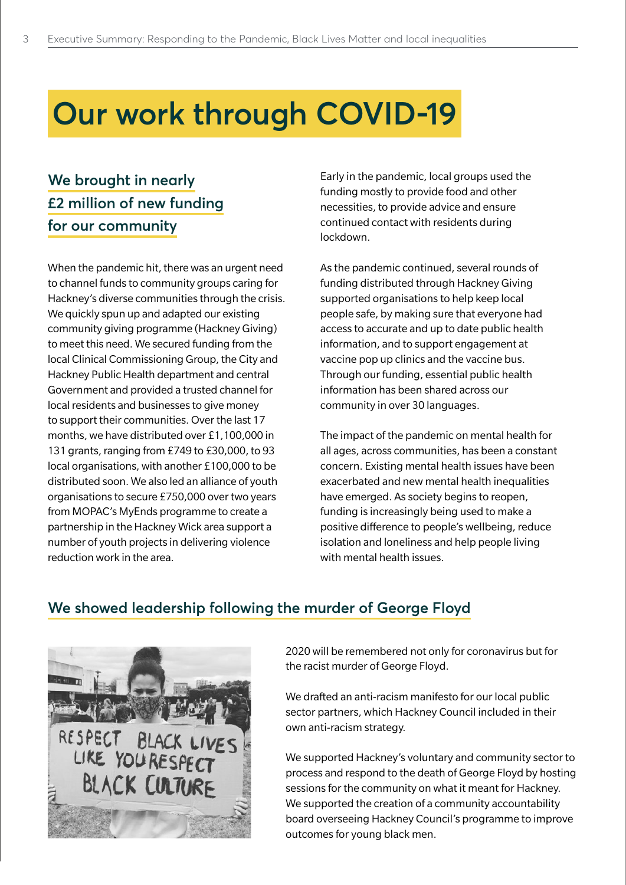# **Our work through COVID-19**

# **We brought in nearly £2 million of new funding for our community**

When the pandemic hit, there was an urgent need to channel funds to community groups caring for Hackney's diverse communities through the crisis. We quickly spun up and adapted our existing community giving programme (Hackney Giving) to meet this need. We secured funding from the local Clinical Commissioning Group, the City and Hackney Public Health department and central Government and provided a trusted channel for local residents and businesses to give money to support their communities. Over the last 17 months, we have distributed over £1,100,000 in 131 grants, ranging from £749 to £30,000, to 93 local organisations, with another £100,000 to be distributed soon. We also led an alliance of youth organisations to secure £750,000 over two years from MOPAC's MyEnds programme to create a partnership in the Hackney Wick area support a number of youth projects in delivering violence reduction work in the area.

Early in the pandemic, local groups used the funding mostly to provide food and other necessities, to provide advice and ensure continued contact with residents during lockdown.

As the pandemic continued, several rounds of funding distributed through Hackney Giving supported organisations to help keep local people safe, by making sure that everyone had access to accurate and up to date public health information, and to support engagement at vaccine pop up clinics and the vaccine bus. Through our funding, essential public health information has been shared across our community in over 30 languages.

The impact of the pandemic on mental health for all ages, across communities, has been a constant concern. Existing mental health issues have been exacerbated and new mental health inequalities have emerged. As society begins to reopen, funding is increasingly being used to make a positive difference to people's wellbeing, reduce isolation and loneliness and help people living with mental health issues.

## **We showed leadership following the murder of George Floyd**



2020 will be remembered not only for coronavirus but for the racist murder of George Floyd.

We drafted an anti-racism manifesto for our local public sector partners, which Hackney Council included in their own anti-racism strategy.

We supported Hackney's voluntary and community sector to process and respond to the death of George Floyd by hosting sessions for the community on what it meant for Hackney. We supported the creation of a community accountability board overseeing Hackney Council's programme to improve outcomes for young black men.